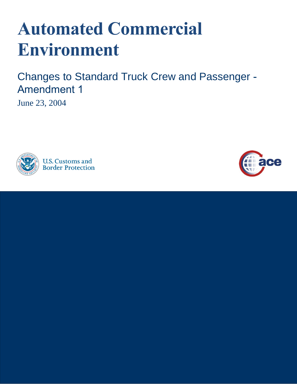# **Automated Commercial Environment**

Changes to Standard Truck Crew and Passenger - Amendment 1

June 23, 2004



**U.S. Customs and Border Protection** 

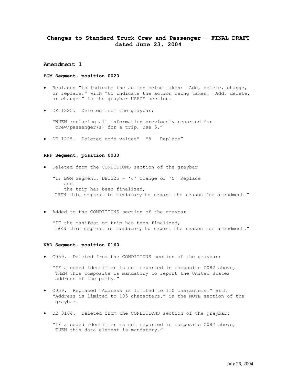# **Changes to Standard Truck Crew and Passenger – FINAL DRAFT dated June 23, 2004**

## **Amendment 1**

#### **BGM Segment, position 0020**

- Replaced "to indicate the action being taken: Add, delete, change, or replace." with "to indicate the action being taken: Add, delete, or change." in the graybar USAGE section.
- DE 1225. Deleted from the graybar:

"WHEN replacing all information previously reported for crew/passenger(s) for a trip, use 5."

DE 1225. Deleted code values" "5 Replace"

#### **RFF Segment, position 0030**

Deleted from the CONDITIONS section of the graybar

"IF BGM Segment, DE1225 = '4' Change or '5' Replace and the trip has been finalized, THEN this segment is mandatory to report the reason for amendment."

Added to the CONDITIONS section of the graybar

"IF the manifest or trip has been finalized, THEN this segment is mandatory to report the reason for amendment."

### **NAD Segment, position 0160**

C059. Deleted from the CONDITIONS section of the graybar:

"IF a coded identifier is not reported in composite C082 above, THEN this composite is mandatory to report the United States address of the party."

- C059. Replaced "Address is limited to 110 characters." with "Address is limited to 105 characters." in the NOTE section of the graybar.
- DE 3164. Deleted from the CONDITIONS section of the graybar:

"IF a coded identifier is not reported in composite C082 above, THEN this data element is mandatory."